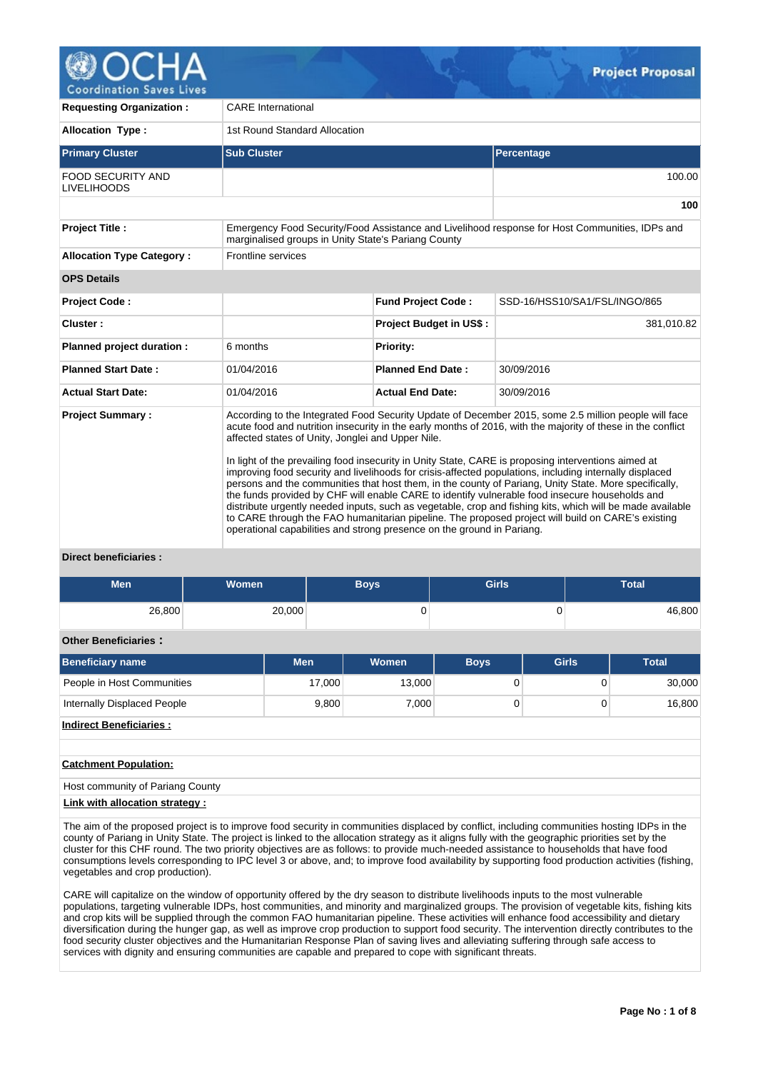

| <b>Requesting Organization:</b>                | <b>CARE</b> International                                                                                                                             |                                                                                                                                                                                                                                                                                                                                                                                                                                                                                                                                                                                                                                                                                                                                                                                                                                                                                                                                              |                               |  |  |  |  |  |  |  |
|------------------------------------------------|-------------------------------------------------------------------------------------------------------------------------------------------------------|----------------------------------------------------------------------------------------------------------------------------------------------------------------------------------------------------------------------------------------------------------------------------------------------------------------------------------------------------------------------------------------------------------------------------------------------------------------------------------------------------------------------------------------------------------------------------------------------------------------------------------------------------------------------------------------------------------------------------------------------------------------------------------------------------------------------------------------------------------------------------------------------------------------------------------------------|-------------------------------|--|--|--|--|--|--|--|
| Allocation Type:                               | 1st Round Standard Allocation                                                                                                                         |                                                                                                                                                                                                                                                                                                                                                                                                                                                                                                                                                                                                                                                                                                                                                                                                                                                                                                                                              |                               |  |  |  |  |  |  |  |
| <b>Primary Cluster</b>                         | <b>Sub Cluster</b>                                                                                                                                    |                                                                                                                                                                                                                                                                                                                                                                                                                                                                                                                                                                                                                                                                                                                                                                                                                                                                                                                                              | Percentage                    |  |  |  |  |  |  |  |
| <b>FOOD SECURITY AND</b><br><b>LIVELIHOODS</b> |                                                                                                                                                       |                                                                                                                                                                                                                                                                                                                                                                                                                                                                                                                                                                                                                                                                                                                                                                                                                                                                                                                                              | 100.00                        |  |  |  |  |  |  |  |
|                                                |                                                                                                                                                       |                                                                                                                                                                                                                                                                                                                                                                                                                                                                                                                                                                                                                                                                                                                                                                                                                                                                                                                                              |                               |  |  |  |  |  |  |  |
| <b>Project Title:</b>                          | Emergency Food Security/Food Assistance and Livelihood response for Host Communities, IDPs and<br>marginalised groups in Unity State's Pariang County |                                                                                                                                                                                                                                                                                                                                                                                                                                                                                                                                                                                                                                                                                                                                                                                                                                                                                                                                              |                               |  |  |  |  |  |  |  |
| <b>Allocation Type Category:</b>               | Frontline services                                                                                                                                    |                                                                                                                                                                                                                                                                                                                                                                                                                                                                                                                                                                                                                                                                                                                                                                                                                                                                                                                                              |                               |  |  |  |  |  |  |  |
| <b>OPS Details</b>                             |                                                                                                                                                       |                                                                                                                                                                                                                                                                                                                                                                                                                                                                                                                                                                                                                                                                                                                                                                                                                                                                                                                                              |                               |  |  |  |  |  |  |  |
| <b>Project Code:</b>                           |                                                                                                                                                       | <b>Fund Project Code:</b>                                                                                                                                                                                                                                                                                                                                                                                                                                                                                                                                                                                                                                                                                                                                                                                                                                                                                                                    | SSD-16/HSS10/SA1/FSL/INGO/865 |  |  |  |  |  |  |  |
| Cluster:                                       |                                                                                                                                                       | <b>Project Budget in US\$:</b>                                                                                                                                                                                                                                                                                                                                                                                                                                                                                                                                                                                                                                                                                                                                                                                                                                                                                                               | 381,010.82                    |  |  |  |  |  |  |  |
| Planned project duration :                     | 6 months                                                                                                                                              | <b>Priority:</b>                                                                                                                                                                                                                                                                                                                                                                                                                                                                                                                                                                                                                                                                                                                                                                                                                                                                                                                             |                               |  |  |  |  |  |  |  |
| <b>Planned Start Date:</b>                     | 01/04/2016                                                                                                                                            | <b>Planned End Date:</b>                                                                                                                                                                                                                                                                                                                                                                                                                                                                                                                                                                                                                                                                                                                                                                                                                                                                                                                     | 30/09/2016                    |  |  |  |  |  |  |  |
| <b>Actual Start Date:</b>                      | 01/04/2016                                                                                                                                            | <b>Actual End Date:</b>                                                                                                                                                                                                                                                                                                                                                                                                                                                                                                                                                                                                                                                                                                                                                                                                                                                                                                                      | 30/09/2016                    |  |  |  |  |  |  |  |
| <b>Project Summary:</b>                        | affected states of Unity, Jonglei and Upper Nile.                                                                                                     | According to the Integrated Food Security Update of December 2015, some 2.5 million people will face<br>acute food and nutrition insecurity in the early months of 2016, with the majority of these in the conflict<br>In light of the prevailing food insecurity in Unity State, CARE is proposing interventions aimed at<br>improving food security and livelihoods for crisis-affected populations, including internally displaced<br>persons and the communities that host them, in the county of Pariang, Unity State. More specifically,<br>the funds provided by CHF will enable CARE to identify vulnerable food insecure households and<br>distribute urgently needed inputs, such as vegetable, crop and fishing kits, which will be made available<br>to CARE through the FAO humanitarian pipeline. The proposed project will build on CARE's existing<br>operational capabilities and strong presence on the ground in Pariang. |                               |  |  |  |  |  |  |  |

## **Direct beneficiaries :**

| <b>Men</b>                         | Women  |            | <b>Boys</b> | <b>Girls</b> |              |          | <b>Total</b> |  |  |  |  |
|------------------------------------|--------|------------|-------------|--------------|--------------|----------|--------------|--|--|--|--|
| 26,800                             | 20,000 |            | 0           |              | 0            |          | 46,800       |  |  |  |  |
| <b>Other Beneficiaries:</b>        |        |            |             |              |              |          |              |  |  |  |  |
| <b>Beneficiary name</b>            |        | <b>Men</b> | Women       | <b>Boys</b>  | <b>Girls</b> |          | <b>Total</b> |  |  |  |  |
| People in Host Communities         |        | 17,000     | 13,000      | 0            |              | $\Omega$ | 30,000       |  |  |  |  |
| <b>Internally Displaced People</b> |        | 9,800      | 7,000       | 0            |              | 0        | 16,800       |  |  |  |  |
| <b>Indirect Beneficiaries:</b>     |        |            |             |              |              |          |              |  |  |  |  |
|                                    |        |            |             |              |              |          |              |  |  |  |  |
| <b>Catchment Population:</b>       |        |            |             |              |              |          |              |  |  |  |  |
| Host community of Pariang County   |        |            |             |              |              |          |              |  |  |  |  |
| Link with allocation strategy :    |        |            |             |              |              |          |              |  |  |  |  |

The aim of the proposed project is to improve food security in communities displaced by conflict, including communities hosting IDPs in the county of Pariang in Unity State. The project is linked to the allocation strategy as it aligns fully with the geographic priorities set by the cluster for this CHF round. The two priority objectives are as follows: to provide much-needed assistance to households that have food consumptions levels corresponding to IPC level 3 or above, and; to improve food availability by supporting food production activities (fishing, vegetables and crop production).

CARE will capitalize on the window of opportunity offered by the dry season to distribute livelihoods inputs to the most vulnerable populations, targeting vulnerable IDPs, host communities, and minority and marginalized groups. The provision of vegetable kits, fishing kits and crop kits will be supplied through the common FAO humanitarian pipeline. These activities will enhance food accessibility and dietary diversification during the hunger gap, as well as improve crop production to support food security. The intervention directly contributes to the food security cluster objectives and the Humanitarian Response Plan of saving lives and alleviating suffering through safe access to services with dignity and ensuring communities are capable and prepared to cope with significant threats.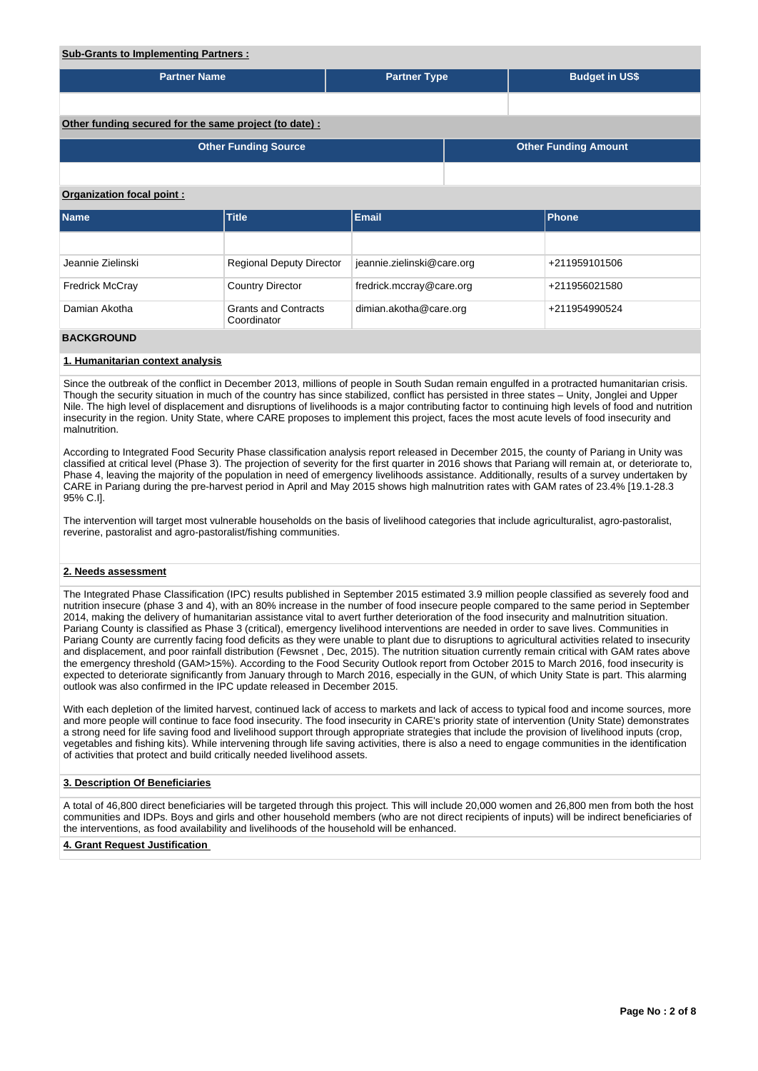| <b>Sub-Grants to Implementing Partners:</b>           |                                            |                            |  |  |                             |  |  |  |  |  |
|-------------------------------------------------------|--------------------------------------------|----------------------------|--|--|-----------------------------|--|--|--|--|--|
| <b>Partner Name</b>                                   |                                            | <b>Partner Type</b>        |  |  | <b>Budget in US\$</b>       |  |  |  |  |  |
|                                                       |                                            |                            |  |  |                             |  |  |  |  |  |
| Other funding secured for the same project (to date): |                                            |                            |  |  |                             |  |  |  |  |  |
|                                                       | <b>Other Funding Source</b>                |                            |  |  | <b>Other Funding Amount</b> |  |  |  |  |  |
|                                                       |                                            |                            |  |  |                             |  |  |  |  |  |
| Organization focal point:                             |                                            |                            |  |  |                             |  |  |  |  |  |
| <b>Name</b>                                           | <b>Title</b>                               | <b>Email</b>               |  |  | Phone                       |  |  |  |  |  |
|                                                       |                                            |                            |  |  |                             |  |  |  |  |  |
| Jeannie Zielinski                                     | <b>Regional Deputy Director</b>            | jeannie.zielinski@care.org |  |  | +211959101506               |  |  |  |  |  |
| <b>Fredrick McCray</b>                                | <b>Country Director</b>                    | fredrick.mccray@care.org   |  |  | +211956021580               |  |  |  |  |  |
| Damian Akotha                                         | <b>Grants and Contracts</b><br>Coordinator | dimian.akotha@care.org     |  |  | +211954990524               |  |  |  |  |  |

## **BACKGROUND**

## **1. Humanitarian context analysis**

Since the outbreak of the conflict in December 2013, millions of people in South Sudan remain engulfed in a protracted humanitarian crisis. Though the security situation in much of the country has since stabilized, conflict has persisted in three states – Unity, Jonglei and Upper Nile. The high level of displacement and disruptions of livelihoods is a major contributing factor to continuing high levels of food and nutrition insecurity in the region. Unity State, where CARE proposes to implement this project, faces the most acute levels of food insecurity and malnutrition.

According to Integrated Food Security Phase classification analysis report released in December 2015, the county of Pariang in Unity was classified at critical level (Phase 3). The projection of severity for the first quarter in 2016 shows that Pariang will remain at, or deteriorate to, Phase 4, leaving the majority of the population in need of emergency livelihoods assistance. Additionally, results of a survey undertaken by CARE in Pariang during the pre-harvest period in April and May 2015 shows high malnutrition rates with GAM rates of 23.4% [19.1-28.3 95% C.I].

The intervention will target most vulnerable households on the basis of livelihood categories that include agriculturalist, agro-pastoralist, reverine, pastoralist and agro-pastoralist/fishing communities.

## **2. Needs assessment**

The Integrated Phase Classification (IPC) results published in September 2015 estimated 3.9 million people classified as severely food and nutrition insecure (phase 3 and 4), with an 80% increase in the number of food insecure people compared to the same period in September 2014, making the delivery of humanitarian assistance vital to avert further deterioration of the food insecurity and malnutrition situation. Pariang County is classified as Phase 3 (critical), emergency livelihood interventions are needed in order to save lives. Communities in Pariang County are currently facing food deficits as they were unable to plant due to disruptions to agricultural activities related to insecurity and displacement, and poor rainfall distribution (Fewsnet , Dec, 2015). The nutrition situation currently remain critical with GAM rates above the emergency threshold (GAM>15%). According to the Food Security Outlook report from October 2015 to March 2016, food insecurity is expected to deteriorate significantly from January through to March 2016, especially in the GUN, of which Unity State is part. This alarming outlook was also confirmed in the IPC update released in December 2015.

With each depletion of the limited harvest, continued lack of access to markets and lack of access to typical food and income sources, more and more people will continue to face food insecurity. The food insecurity in CARE's priority state of intervention (Unity State) demonstrates a strong need for life saving food and livelihood support through appropriate strategies that include the provision of livelihood inputs (crop, vegetables and fishing kits). While intervening through life saving activities, there is also a need to engage communities in the identification of activities that protect and build critically needed livelihood assets.

## **3. Description Of Beneficiaries**

A total of 46,800 direct beneficiaries will be targeted through this project. This will include 20,000 women and 26,800 men from both the host communities and IDPs. Boys and girls and other household members (who are not direct recipients of inputs) will be indirect beneficiaries of the interventions, as food availability and livelihoods of the household will be enhanced.

## **4. Grant Request Justification**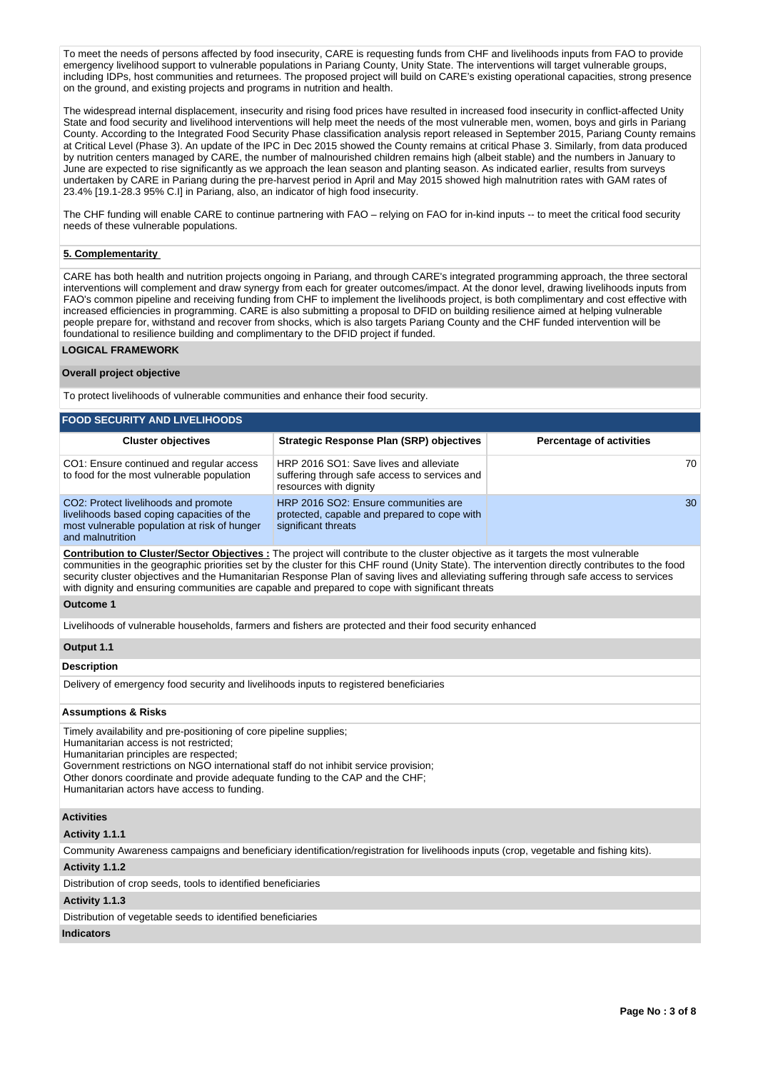To meet the needs of persons affected by food insecurity, CARE is requesting funds from CHF and livelihoods inputs from FAO to provide emergency livelihood support to vulnerable populations in Pariang County, Unity State. The interventions will target vulnerable groups, including IDPs, host communities and returnees. The proposed project will build on CARE's existing operational capacities, strong presence on the ground, and existing projects and programs in nutrition and health.

The widespread internal displacement, insecurity and rising food prices have resulted in increased food insecurity in conflict-affected Unity State and food security and livelihood interventions will help meet the needs of the most vulnerable men, women, boys and girls in Pariang County. According to the Integrated Food Security Phase classification analysis report released in September 2015, Pariang County remains at Critical Level (Phase 3). An update of the IPC in Dec 2015 showed the County remains at critical Phase 3. Similarly, from data produced by nutrition centers managed by CARE, the number of malnourished children remains high (albeit stable) and the numbers in January to June are expected to rise significantly as we approach the lean season and planting season. As indicated earlier, results from surveys undertaken by CARE in Pariang during the pre-harvest period in April and May 2015 showed high malnutrition rates with GAM rates of 23.4% [19.1-28.3 95% C.I] in Pariang, also, an indicator of high food insecurity.

The CHF funding will enable CARE to continue partnering with FAO – relying on FAO for in-kind inputs -- to meet the critical food security needs of these vulnerable populations.

## **5. Complementarity**

CARE has both health and nutrition projects ongoing in Pariang, and through CARE's integrated programming approach, the three sectoral interventions will complement and draw synergy from each for greater outcomes/impact. At the donor level, drawing livelihoods inputs from FAO's common pipeline and receiving funding from CHF to implement the livelihoods project, is both complimentary and cost effective with increased efficiencies in programming. CARE is also submitting a proposal to DFID on building resilience aimed at helping vulnerable people prepare for, withstand and recover from shocks, which is also targets Pariang County and the CHF funded intervention will be foundational to resilience building and complimentary to the DFID project if funded.

## **LOGICAL FRAMEWORK**

## **Overall project objective**

To protect livelihoods of vulnerable communities and enhance their food security.

| <b>FOOD SECURITY AND LIVELIHOODS</b>                                                                                                                   |                                                                                                                   |                                 |  |  |  |  |  |  |  |  |
|--------------------------------------------------------------------------------------------------------------------------------------------------------|-------------------------------------------------------------------------------------------------------------------|---------------------------------|--|--|--|--|--|--|--|--|
| <b>Cluster objectives</b>                                                                                                                              | Strategic Response Plan (SRP) objectives                                                                          | <b>Percentage of activities</b> |  |  |  |  |  |  |  |  |
| CO1: Ensure continued and regular access<br>to food for the most vulnerable population                                                                 | HRP 2016 SO1: Save lives and alleviate<br>suffering through safe access to services and<br>resources with dignity | 70                              |  |  |  |  |  |  |  |  |
| CO2: Protect livelihoods and promote<br>livelihoods based coping capacities of the<br>most vulnerable population at risk of hunger<br>and malnutrition | HRP 2016 SO2: Ensure communities are<br>protected, capable and prepared to cope with<br>significant threats       | 30                              |  |  |  |  |  |  |  |  |

**Contribution to Cluster/Sector Objectives :** The project will contribute to the cluster objective as it targets the most vulnerable communities in the geographic priorities set by the cluster for this CHF round (Unity State). The intervention directly contributes to the food security cluster objectives and the Humanitarian Response Plan of saving lives and alleviating suffering through safe access to services with dignity and ensuring communities are capable and prepared to cope with significant threats

## **Outcome 1**

Livelihoods of vulnerable households, farmers and fishers are protected and their food security enhanced

## **Output 1.1**

## **Description**

Delivery of emergency food security and livelihoods inputs to registered beneficiaries

#### **Assumptions & Risks**

Timely availability and pre-positioning of core pipeline supplies; Humanitarian access is not restricted; Humanitarian principles are respected; Government restrictions on NGO international staff do not inhibit service provision; Other donors coordinate and provide adequate funding to the CAP and the CHF; Humanitarian actors have access to funding.

#### **Activities**

## **Activity 1.1.1**

Community Awareness campaigns and beneficiary identification/registration for livelihoods inputs (crop, vegetable and fishing kits).

## **Activity 1.1.2**

Distribution of crop seeds, tools to identified beneficiaries

## **Activity 1.1.3**

Distribution of vegetable seeds to identified beneficiaries

## **Indicators**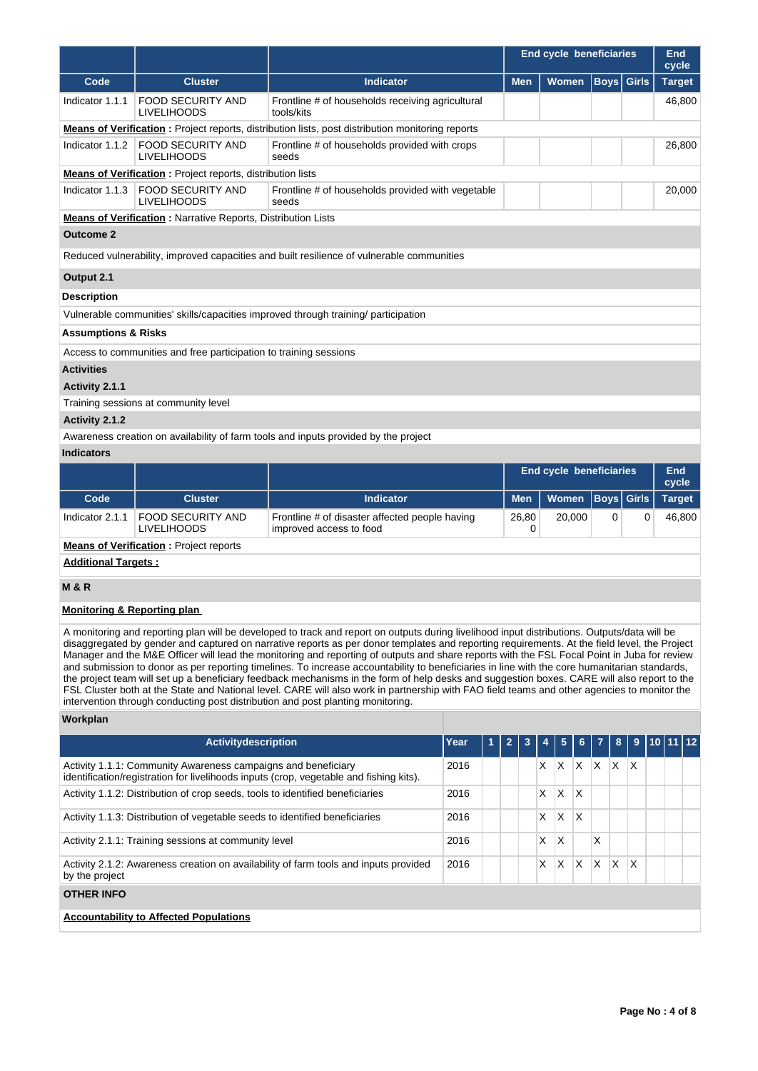|                                |                                                                                                                       |                                                                                                          | <b>End cycle beneficiaries</b> |              |  |                   | <b>End</b><br>cycle |  |  |  |  |
|--------------------------------|-----------------------------------------------------------------------------------------------------------------------|----------------------------------------------------------------------------------------------------------|--------------------------------|--------------|--|-------------------|---------------------|--|--|--|--|
| Code                           | <b>Cluster</b>                                                                                                        | <b>Indicator</b>                                                                                         | <b>Men</b>                     | <b>Women</b> |  | <b>Boys</b> Girls | <b>Target</b>       |  |  |  |  |
| Indicator 1.1.1                | <b>FOOD SECURITY AND</b><br><b>LIVELIHOODS</b>                                                                        | Frontline # of households receiving agricultural<br>tools/kits                                           |                                |              |  |                   | 46,800              |  |  |  |  |
|                                |                                                                                                                       | <b>Means of Verification</b> : Project reports, distribution lists, post distribution monitoring reports |                                |              |  |                   |                     |  |  |  |  |
| Indicator $1.1.2$              | <b>FOOD SECURITY AND</b><br><b>LIVELIHOODS</b>                                                                        | Frontline # of households provided with crops<br>seeds                                                   |                                |              |  |                   | 26,800              |  |  |  |  |
|                                | <b>Means of Verification:</b> Project reports, distribution lists                                                     |                                                                                                          |                                |              |  |                   |                     |  |  |  |  |
|                                | Indicator 1.1.3 FOOD SECURITY AND<br>Frontline # of households provided with vegetable<br><b>LIVELIHOODS</b><br>seeds |                                                                                                          |                                |              |  |                   |                     |  |  |  |  |
|                                | <b>Means of Verification:</b> Narrative Reports, Distribution Lists                                                   |                                                                                                          |                                |              |  |                   |                     |  |  |  |  |
| <b>Outcome 2</b>               |                                                                                                                       |                                                                                                          |                                |              |  |                   |                     |  |  |  |  |
|                                |                                                                                                                       | Reduced vulnerability, improved capacities and built resilience of vulnerable communities                |                                |              |  |                   |                     |  |  |  |  |
| Output 2.1                     |                                                                                                                       |                                                                                                          |                                |              |  |                   |                     |  |  |  |  |
| <b>Description</b>             |                                                                                                                       |                                                                                                          |                                |              |  |                   |                     |  |  |  |  |
|                                |                                                                                                                       | Vulnerable communities' skills/capacities improved through training/ participation                       |                                |              |  |                   |                     |  |  |  |  |
| <b>Assumptions &amp; Risks</b> |                                                                                                                       |                                                                                                          |                                |              |  |                   |                     |  |  |  |  |
|                                | Access to communities and free participation to training sessions                                                     |                                                                                                          |                                |              |  |                   |                     |  |  |  |  |
| <b>Activities</b>              |                                                                                                                       |                                                                                                          |                                |              |  |                   |                     |  |  |  |  |
| Activity 2.1.1                 |                                                                                                                       |                                                                                                          |                                |              |  |                   |                     |  |  |  |  |
|                                | Training sessions at community level                                                                                  |                                                                                                          |                                |              |  |                   |                     |  |  |  |  |
| Activity 2.1.2                 |                                                                                                                       |                                                                                                          |                                |              |  |                   |                     |  |  |  |  |

Awareness creation on availability of farm tools and inputs provided by the project

## **Indicators**

|                                               |                                         |                                                                           | End cycle beneficiaries |                      |  |  | End<br>cycle  |  |  |  |
|-----------------------------------------------|-----------------------------------------|---------------------------------------------------------------------------|-------------------------|----------------------|--|--|---------------|--|--|--|
| Code                                          | <b>Cluster</b>                          | Indicator                                                                 | <b>Men</b>              | Women   Boys   Girls |  |  | <b>Target</b> |  |  |  |
| Indicator 2.1.1                               | FOOD SECURITY AND<br><b>LIVELIHOODS</b> | Frontline # of disaster affected people having<br>improved access to food | 26.80                   | 20,000               |  |  | 46.800        |  |  |  |
| <b>Means of Verification:</b> Project reports |                                         |                                                                           |                         |                      |  |  |               |  |  |  |
|                                               | <b>Additional Targets:</b>              |                                                                           |                         |                      |  |  |               |  |  |  |

## **M & R**

## **Monitoring & Reporting plan**

A monitoring and reporting plan will be developed to track and report on outputs during livelihood input distributions. Outputs/data will be disaggregated by gender and captured on narrative reports as per donor templates and reporting requirements. At the field level, the Project Manager and the M&E Officer will lead the monitoring and reporting of outputs and share reports with the FSL Focal Point in Juba for review and submission to donor as per reporting timelines. To increase accountability to beneficiaries in line with the core humanitarian standards, the project team will set up a beneficiary feedback mechanisms in the form of help desks and suggestion boxes. CARE will also report to the FSL Cluster both at the State and National level. CARE will also work in partnership with FAO field teams and other agencies to monitor the intervention through conducting post distribution and post planting monitoring.

## **Workplan**

| <b>Activitydescription</b>                                                                                                                              | Year |  | $\overline{2}$ | 3 | 4 | $5\phantom{.0}$ | 6 <sup>1</sup> | $\overline{7}$ | 8            |              | 9   10   11   12 |  |
|---------------------------------------------------------------------------------------------------------------------------------------------------------|------|--|----------------|---|---|-----------------|----------------|----------------|--------------|--------------|------------------|--|
| Activity 1.1.1: Community Awareness campaigns and beneficiary<br>identification/registration for livelihoods inputs (crop, vegetable and fishing kits). | 2016 |  |                |   | X | X               | X              | $\mathsf{X}$   | $\mathsf{X}$ | $\mathsf{x}$ |                  |  |
| Activity 1.1.2: Distribution of crop seeds, tools to identified beneficiaries                                                                           | 2016 |  |                |   | X | X               | X              |                |              |              |                  |  |
| Activity 1.1.3: Distribution of vegetable seeds to identified beneficiaries                                                                             | 2016 |  |                |   | X | X               | X              |                |              |              |                  |  |
| Activity 2.1.1: Training sessions at community level                                                                                                    | 2016 |  |                |   | x | X               |                | X              |              |              |                  |  |
| Activity 2.1.2: Awareness creation on availability of farm tools and inputs provided<br>by the project                                                  | 2016 |  |                |   | X | X               | X              | ΙX             | X            | X            |                  |  |
| <b>OTHER INFO</b>                                                                                                                                       |      |  |                |   |   |                 |                |                |              |              |                  |  |
| <b>Accountability to Affected Populations</b>                                                                                                           |      |  |                |   |   |                 |                |                |              |              |                  |  |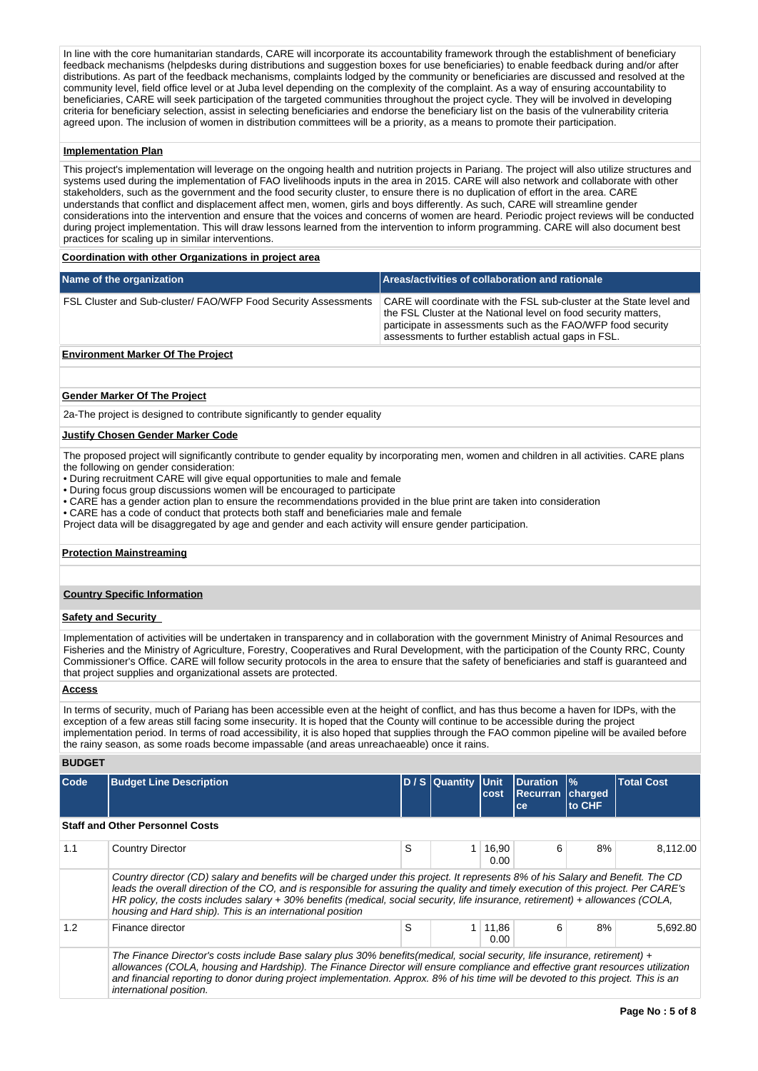In line with the core humanitarian standards, CARE will incorporate its accountability framework through the establishment of beneficiary feedback mechanisms (helpdesks during distributions and suggestion boxes for use beneficiaries) to enable feedback during and/or after distributions. As part of the feedback mechanisms, complaints lodged by the community or beneficiaries are discussed and resolved at the community level, field office level or at Juba level depending on the complexity of the complaint. As a way of ensuring accountability to beneficiaries, CARE will seek participation of the targeted communities throughout the project cycle. They will be involved in developing criteria for beneficiary selection, assist in selecting beneficiaries and endorse the beneficiary list on the basis of the vulnerability criteria agreed upon. The inclusion of women in distribution committees will be a priority, as a means to promote their participation.

## **Implementation Plan**

This project's implementation will leverage on the ongoing health and nutrition projects in Pariang. The project will also utilize structures and systems used during the implementation of FAO livelihoods inputs in the area in 2015. CARE will also network and collaborate with other stakeholders, such as the government and the food security cluster, to ensure there is no duplication of effort in the area. CARE understands that conflict and displacement affect men, women, girls and boys differently. As such, CARE will streamline gender considerations into the intervention and ensure that the voices and concerns of women are heard. Periodic project reviews will be conducted during project implementation. This will draw lessons learned from the intervention to inform programming. CARE will also document best practices for scaling up in similar interventions.

## **Coordination with other Organizations in project area**

| Name of the organization                                              | Areas/activities of collaboration and rationale                                                                                                                                                                                                                 |
|-----------------------------------------------------------------------|-----------------------------------------------------------------------------------------------------------------------------------------------------------------------------------------------------------------------------------------------------------------|
| <b>FSL Cluster and Sub-cluster/ FAO/WFP Food Security Assessments</b> | CARE will coordinate with the FSL sub-cluster at the State level and<br>the FSL Cluster at the National level on food security matters,<br>participate in assessments such as the FAO/WFP food security<br>assessments to further establish actual gaps in FSL. |
| Forder and the Modern Affilm Bacters                                  |                                                                                                                                                                                                                                                                 |

## **Environment Marker Of The Project**

## **Gender Marker Of The Project**

2a-The project is designed to contribute significantly to gender equality

#### **Justify Chosen Gender Marker Code**

The proposed project will significantly contribute to gender equality by incorporating men, women and children in all activities. CARE plans the following on gender consideration:

- During recruitment CARE will give equal opportunities to male and female
- During focus group discussions women will be encouraged to participate
- CARE has a gender action plan to ensure the recommendations provided in the blue print are taken into consideration
- CARE has a code of conduct that protects both staff and beneficiaries male and female
- Project data will be disaggregated by age and gender and each activity will ensure gender participation.

## **Protection Mainstreaming**

## **Country Specific Information**

## **Safety and Security**

Implementation of activities will be undertaken in transparency and in collaboration with the government Ministry of Animal Resources and Fisheries and the Ministry of Agriculture, Forestry, Cooperatives and Rural Development, with the participation of the County RRC, County Commissioner's Office. CARE will follow security protocols in the area to ensure that the safety of beneficiaries and staff is guaranteed and that project supplies and organizational assets are protected.

## **Access**

In terms of security, much of Pariang has been accessible even at the height of conflict, and has thus become a haven for IDPs, with the exception of a few areas still facing some insecurity. It is hoped that the County will continue to be accessible during the project implementation period. In terms of road accessibility, it is also hoped that supplies through the FAO common pipeline will be availed before the rainy season, as some roads become impassable (and areas unreachaeable) once it rains.

## **BUDGET**

| Code | <b>Budget Line Description</b>                                                                                                                                                                                                                                                                                                                                                                                                                                         |   | D / S   Quantity   Unit | cost          | Duration<br><b>Recurran charged</b><br>ce | $\frac{1}{6}$<br>to CHF | <b>Total Cost</b> |
|------|------------------------------------------------------------------------------------------------------------------------------------------------------------------------------------------------------------------------------------------------------------------------------------------------------------------------------------------------------------------------------------------------------------------------------------------------------------------------|---|-------------------------|---------------|-------------------------------------------|-------------------------|-------------------|
|      | <b>Staff and Other Personnel Costs</b>                                                                                                                                                                                                                                                                                                                                                                                                                                 |   |                         |               |                                           |                         |                   |
| 1.1  | <b>Country Director</b>                                                                                                                                                                                                                                                                                                                                                                                                                                                | S |                         | 16,90<br>0.00 | 6                                         | 8%                      | 8.112.00          |
|      | Country director (CD) salary and benefits will be charged under this project. It represents 8% of his Salary and Benefit. The CD<br>leads the overall direction of the CO, and is responsible for assuring the quality and timely execution of this project. Per CARE's<br>HR policy, the costs includes salary + 30% benefits (medical, social security, life insurance, retirement) + allowances (COLA,<br>housing and Hard ship). This is an international position |   |                         |               |                                           |                         |                   |
| 1.2  | Finance director                                                                                                                                                                                                                                                                                                                                                                                                                                                       | S |                         | 11,86<br>0.00 | 6                                         | 8%                      | 5.692.80          |
|      | The Finance Director's costs include Base salary plus 30% benefits(medical, social security, life insurance, retirement) +<br>allowances (COLA, housing and Hardship). The Finance Director will ensure compliance and effective grant resources utilization<br>and financial reporting to donor during project implementation. Approx. 8% of his time will be devoted to this project. This is an<br>international position.                                          |   |                         |               |                                           |                         |                   |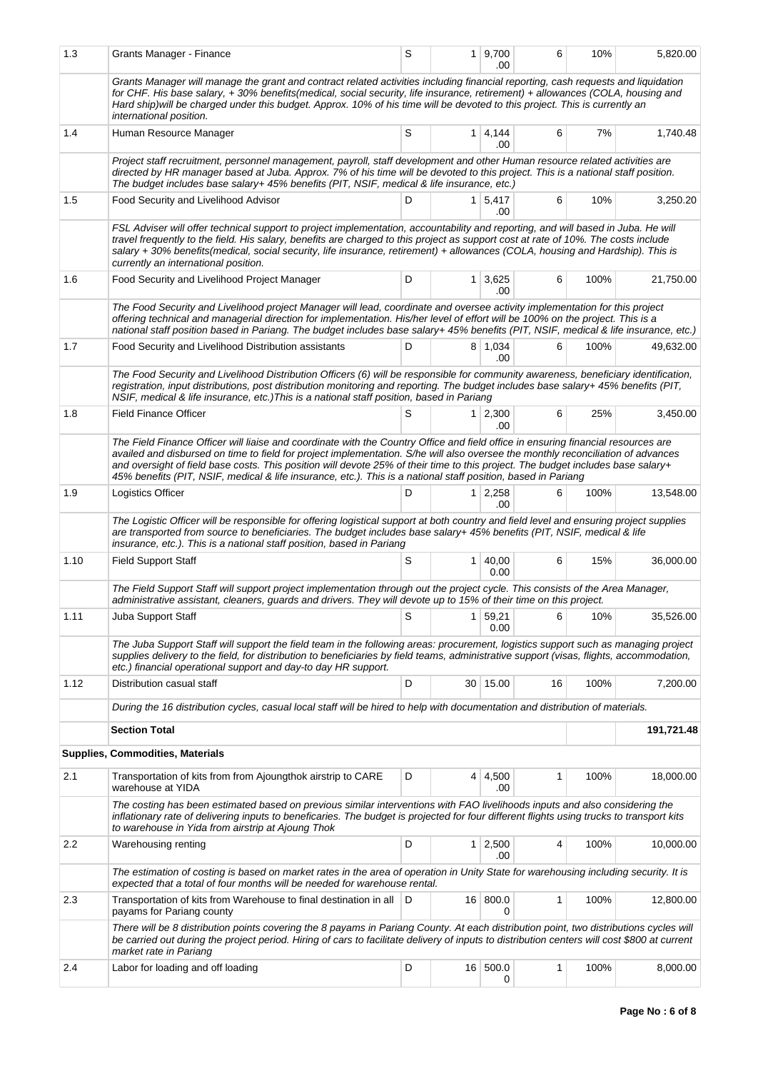| 1.3  | Grants Manager - Finance                                                                                                                                                                                                                                                                                                                                                                                                                                                                                                   | S |                | 1 9,700<br>.00         | 6        | 10%  | 5,820.00   |  |  |  |  |
|------|----------------------------------------------------------------------------------------------------------------------------------------------------------------------------------------------------------------------------------------------------------------------------------------------------------------------------------------------------------------------------------------------------------------------------------------------------------------------------------------------------------------------------|---|----------------|------------------------|----------|------|------------|--|--|--|--|
|      | Grants Manager will manage the grant and contract related activities including financial reporting, cash requests and liquidation<br>for CHF. His base salary, +30% benefits(medical, social security, life insurance, retirement) + allowances (COLA, housing and<br>Hard ship) will be charged under this budget. Approx. 10% of his time will be devoted to this project. This is currently an<br>international position.                                                                                               |   |                |                        |          |      |            |  |  |  |  |
| 1.4  | Human Resource Manager                                                                                                                                                                                                                                                                                                                                                                                                                                                                                                     | S | 1 <sup>1</sup> | 4,144<br>.00           | 6        | 7%   | 1,740.48   |  |  |  |  |
|      | Project staff recruitment, personnel management, payroll, staff development and other Human resource related activities are<br>directed by HR manager based at Juba. Approx. 7% of his time will be devoted to this project. This is a national staff position.<br>The budget includes base salary+ 45% benefits (PIT, NSIF, medical & life insurance, etc.)                                                                                                                                                               |   |                |                        |          |      |            |  |  |  |  |
| 1.5  | Food Security and Livelihood Advisor                                                                                                                                                                                                                                                                                                                                                                                                                                                                                       | D |                | $1 \mid 5,417$<br>.00  | 6        | 10%  | 3,250.20   |  |  |  |  |
|      | FSL Adviser will offer technical support to project implementation, accountability and reporting, and will based in Juba. He will<br>travel frequently to the field. His salary, benefits are charged to this project as support cost at rate of 10%. The costs include<br>salary + 30% benefits (medical, social security, life insurance, retirement) + allowances (COLA, housing and Hardship). This is<br>currently an international position.                                                                         |   |                |                        |          |      |            |  |  |  |  |
| 1.6  | Food Security and Livelihood Project Manager                                                                                                                                                                                                                                                                                                                                                                                                                                                                               | D |                | $1 \mid 3,625$<br>.00  | 6        | 100% | 21,750.00  |  |  |  |  |
|      | The Food Security and Livelihood project Manager will lead, coordinate and oversee activity implementation for this project<br>offering technical and managerial direction for implementation. His/her level of effort will be 100% on the project. This is a<br>national staff position based in Pariang. The budget includes base salary+ 45% benefits (PIT, NSIF, medical & life insurance, etc.)                                                                                                                       |   |                |                        |          |      |            |  |  |  |  |
| 1.7  | Food Security and Livelihood Distribution assistants                                                                                                                                                                                                                                                                                                                                                                                                                                                                       | D |                | 8 1,034<br>.00         | 6        | 100% | 49,632.00  |  |  |  |  |
|      | The Food Security and Livelihood Distribution Officers (6) will be responsible for community awareness, beneficiary identification,<br>registration, input distributions, post distribution monitoring and reporting. The budget includes base salary+ 45% benefits (PIT,<br>NSIF, medical & life insurance, etc.) This is a national staff position, based in Pariang                                                                                                                                                     |   |                |                        |          |      |            |  |  |  |  |
| 1.8  | <b>Field Finance Officer</b>                                                                                                                                                                                                                                                                                                                                                                                                                                                                                               | S | 1              | 2,300<br>.00           | 6        | 25%  | 3,450.00   |  |  |  |  |
|      | The Field Finance Officer will liaise and coordinate with the Country Office and field office in ensuring financial resources are<br>availed and disbursed on time to field for project implementation. S/he will also oversee the monthly reconciliation of advances<br>and oversight of field base costs. This position will devote 25% of their time to this project. The budget includes base salary+<br>45% benefits (PIT, NSIF, medical & life insurance, etc.). This is a national staff position, based in Pariang |   |                |                        |          |      |            |  |  |  |  |
| 1.9  | Logistics Officer                                                                                                                                                                                                                                                                                                                                                                                                                                                                                                          | D |                | $1 \quad 2,258$<br>.00 | 6        | 100% | 13,548.00  |  |  |  |  |
|      | The Logistic Officer will be responsible for offering logistical support at both country and field level and ensuring project supplies<br>are transported from source to beneficiaries. The budget includes base salary+ 45% benefits (PIT, NSIF, medical & life<br>insurance, etc.). This is a national staff position, based in Pariang                                                                                                                                                                                  |   |                |                        |          |      |            |  |  |  |  |
| 1.10 | <b>Field Support Staff</b>                                                                                                                                                                                                                                                                                                                                                                                                                                                                                                 | S | 1              | 40,00<br>0.00          | 6        | 15%  | 36,000.00  |  |  |  |  |
|      | The Field Support Staff will support project implementation through out the project cycle. This consists of the Area Manager,<br>administrative assistant, cleaners, guards and drivers. They will devote up to 15% of their time on this project.                                                                                                                                                                                                                                                                         |   |                |                        |          |      |            |  |  |  |  |
| 1.11 | Juba Support Staff                                                                                                                                                                                                                                                                                                                                                                                                                                                                                                         | S |                | 1 59,21 <br>0.00       | $6 \mid$ | 10%  | 35,526.00  |  |  |  |  |
|      | The Juba Support Staff will support the field team in the following areas: procurement, logistics support such as managing project<br>supplies delivery to the field, for distribution to beneficiaries by field teams, administrative support (visas, flights, accommodation,<br>etc.) financial operational support and day-to day HR support.                                                                                                                                                                           |   |                |                        |          |      |            |  |  |  |  |
| 1.12 | Distribution casual staff                                                                                                                                                                                                                                                                                                                                                                                                                                                                                                  | D |                | 30 15.00               | 16       | 100% | 7,200.00   |  |  |  |  |
|      | During the 16 distribution cycles, casual local staff will be hired to help with documentation and distribution of materials.                                                                                                                                                                                                                                                                                                                                                                                              |   |                |                        |          |      |            |  |  |  |  |
|      | <b>Section Total</b>                                                                                                                                                                                                                                                                                                                                                                                                                                                                                                       |   |                |                        |          |      | 191,721.48 |  |  |  |  |
|      | Supplies, Commodities, Materials                                                                                                                                                                                                                                                                                                                                                                                                                                                                                           |   |                |                        |          |      |            |  |  |  |  |
| 2.1  | Transportation of kits from from Ajoungthok airstrip to CARE<br>warehouse at YIDA                                                                                                                                                                                                                                                                                                                                                                                                                                          | D | 4              | 4,500<br>.00           | 1        | 100% | 18,000.00  |  |  |  |  |
|      | The costing has been estimated based on previous similar interventions with FAO livelihoods inputs and also considering the<br>inflationary rate of delivering inputs to beneficaries. The budget is projected for four different flights using trucks to transport kits<br>to warehouse in Yida from airstrip at Ajoung Thok                                                                                                                                                                                              |   |                |                        |          |      |            |  |  |  |  |
| 2.2  | Warehousing renting                                                                                                                                                                                                                                                                                                                                                                                                                                                                                                        | D |                | $1 \mid 2,500$<br>.00  | 4        | 100% | 10,000.00  |  |  |  |  |
|      | The estimation of costing is based on market rates in the area of operation in Unity State for warehousing including security. It is<br>expected that a total of four months will be needed for warehouse rental.                                                                                                                                                                                                                                                                                                          |   |                |                        |          |      |            |  |  |  |  |
| 2.3  | Transportation of kits from Warehouse to final destination in all   D<br>payams for Pariang county                                                                                                                                                                                                                                                                                                                                                                                                                         |   |                | 16 800.0<br>0          | 1        | 100% | 12,800.00  |  |  |  |  |
|      | There will be 8 distribution points covering the 8 payams in Pariang County. At each distribution point, two distributions cycles will<br>be carried out during the project period. Hiring of cars to facilitate delivery of inputs to distribution centers will cost \$800 at current<br>market rate in Pariang                                                                                                                                                                                                           |   |                |                        |          |      |            |  |  |  |  |
| 2.4  | Labor for loading and off loading                                                                                                                                                                                                                                                                                                                                                                                                                                                                                          | D |                | 16 500.0<br>0          | 1        | 100% | 8,000.00   |  |  |  |  |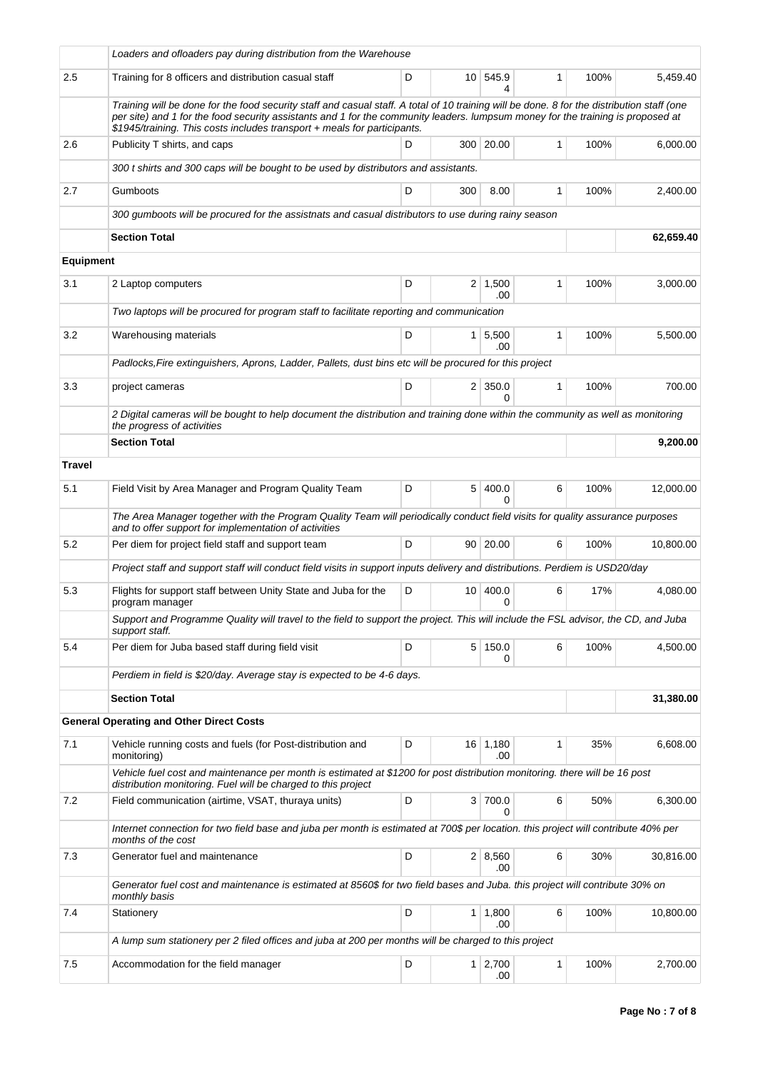|                  | Loaders and ofloaders pay during distribution from the Warehouse                                                                                                                                                                                                                                                                                          |   |                 |                       |              |      |           |
|------------------|-----------------------------------------------------------------------------------------------------------------------------------------------------------------------------------------------------------------------------------------------------------------------------------------------------------------------------------------------------------|---|-----------------|-----------------------|--------------|------|-----------|
| 2.5              | Training for 8 officers and distribution casual staff                                                                                                                                                                                                                                                                                                     | D |                 | 10 545.9<br>4         | 1            | 100% | 5,459.40  |
|                  | Training will be done for the food security staff and casual staff. A total of 10 training will be done. 8 for the distribution staff (one<br>per site) and 1 for the food security assistants and 1 for the community leaders. lumpsum money for the training is proposed at<br>\$1945/training. This costs includes transport + meals for participants. |   |                 |                       |              |      |           |
| 2.6              | Publicity T shirts, and caps                                                                                                                                                                                                                                                                                                                              | D |                 | 300 20.00             | 1            | 100% | 6,000.00  |
|                  | 300 t shirts and 300 caps will be bought to be used by distributors and assistants.                                                                                                                                                                                                                                                                       |   |                 |                       |              |      |           |
| 2.7              | Gumboots                                                                                                                                                                                                                                                                                                                                                  | D | 300             | 8.00                  | 1            | 100% | 2,400.00  |
|                  | 300 gumboots will be procured for the assistnats and casual distributors to use during rainy season                                                                                                                                                                                                                                                       |   |                 |                       |              |      |           |
|                  | <b>Section Total</b>                                                                                                                                                                                                                                                                                                                                      |   |                 |                       |              |      | 62,659.40 |
| <b>Equipment</b> |                                                                                                                                                                                                                                                                                                                                                           |   |                 |                       |              |      |           |
| 3.1              | 2 Laptop computers                                                                                                                                                                                                                                                                                                                                        | D |                 | $2 \mid 1,500$<br>.00 | 1            | 100% | 3,000.00  |
|                  | Two laptops will be procured for program staff to facilitate reporting and communication                                                                                                                                                                                                                                                                  |   |                 |                       |              |      |           |
| 3.2              | Warehousing materials                                                                                                                                                                                                                                                                                                                                     | D | 1 <sup>1</sup>  | 5,500<br>.00          | 1            | 100% | 5,500.00  |
|                  | Padlocks, Fire extinguishers, Aprons, Ladder, Pallets, dust bins etc will be procured for this project                                                                                                                                                                                                                                                    |   |                 |                       |              |      |           |
| 3.3              | project cameras                                                                                                                                                                                                                                                                                                                                           | D |                 | $2 \mid 350.0$<br>0   | $\mathbf{1}$ | 100% | 700.00    |
|                  | 2 Digital cameras will be bought to help document the distribution and training done within the community as well as monitoring<br>the progress of activities                                                                                                                                                                                             |   |                 |                       |              |      |           |
|                  | <b>Section Total</b>                                                                                                                                                                                                                                                                                                                                      |   |                 |                       |              |      | 9,200.00  |
| <b>Travel</b>    |                                                                                                                                                                                                                                                                                                                                                           |   |                 |                       |              |      |           |
| 5.1              | Field Visit by Area Manager and Program Quality Team                                                                                                                                                                                                                                                                                                      | D | 5 <sup>1</sup>  | 400.0<br>$\Omega$     | 6            | 100% | 12,000.00 |
|                  | The Area Manager together with the Program Quality Team will periodically conduct field visits for quality assurance purposes<br>and to offer support for implementation of activities                                                                                                                                                                    |   |                 |                       |              |      |           |
| 5.2              | Per diem for project field staff and support team                                                                                                                                                                                                                                                                                                         | D |                 | 90   20.00            | 6            | 100% | 10,800.00 |
|                  | Project staff and support staff will conduct field visits in support inputs delivery and distributions. Perdiem is USD20/day                                                                                                                                                                                                                              |   |                 |                       |              |      |           |
| 5.3              | Flights for support staff between Unity State and Juba for the<br>program manager                                                                                                                                                                                                                                                                         | D | 10 <sup>1</sup> | 400.0<br>0            | 6            | 17%  | 4,080.00  |
|                  | Support and Programme Quality will travel to the field to support the project. This will include the FSL advisor, the CD, and Juba<br>support staff.                                                                                                                                                                                                      |   |                 |                       |              |      |           |
| 5.4              | Per diem for Juba based staff during field visit                                                                                                                                                                                                                                                                                                          | D |                 | 5 150.0<br>0          | 6            | 100% | 4,500.00  |
|                  | Perdiem in field is \$20/day. Average stay is expected to be 4-6 days.                                                                                                                                                                                                                                                                                    |   |                 |                       |              |      |           |
|                  | <b>Section Total</b>                                                                                                                                                                                                                                                                                                                                      |   |                 |                       |              |      | 31,380.00 |
|                  | <b>General Operating and Other Direct Costs</b>                                                                                                                                                                                                                                                                                                           |   |                 |                       |              |      |           |
| 7.1              | Vehicle running costs and fuels (for Post-distribution and<br>monitoring)                                                                                                                                                                                                                                                                                 | D |                 | $16$ 1,180<br>.00     | 1            | 35%  | 6,608.00  |
|                  | Vehicle fuel cost and maintenance per month is estimated at \$1200 for post distribution monitoring, there will be 16 post<br>distribution monitoring. Fuel will be charged to this project                                                                                                                                                               |   |                 |                       |              |      |           |
| 7.2              | Field communication (airtime, VSAT, thuraya units)                                                                                                                                                                                                                                                                                                        | D |                 | 3 700.0<br>0          | 6            | 50%  | 6,300.00  |
|                  | Internet connection for two field base and juba per month is estimated at 700\$ per location. this project will contribute 40% per<br>months of the cost                                                                                                                                                                                                  |   |                 |                       |              |      |           |
| 7.3              | Generator fuel and maintenance                                                                                                                                                                                                                                                                                                                            | D |                 | 2   8,560<br>.00      | 6            | 30%  | 30,816.00 |
|                  | Generator fuel cost and maintenance is estimated at 8560\$ for two field bases and Juba. this project will contribute 30% on<br>monthly basis                                                                                                                                                                                                             |   |                 |                       |              |      |           |
| 7.4              | Stationery                                                                                                                                                                                                                                                                                                                                                | D |                 | $1 \mid 1,800$<br>.00 | 6            | 100% | 10,800.00 |
|                  | A lump sum stationery per 2 filed offices and juba at 200 per months will be charged to this project                                                                                                                                                                                                                                                      |   |                 |                       |              |      |           |
| 7.5              | Accommodation for the field manager                                                                                                                                                                                                                                                                                                                       | D |                 | $1 \mid 2,700$<br>.00 | 1            | 100% | 2,700.00  |